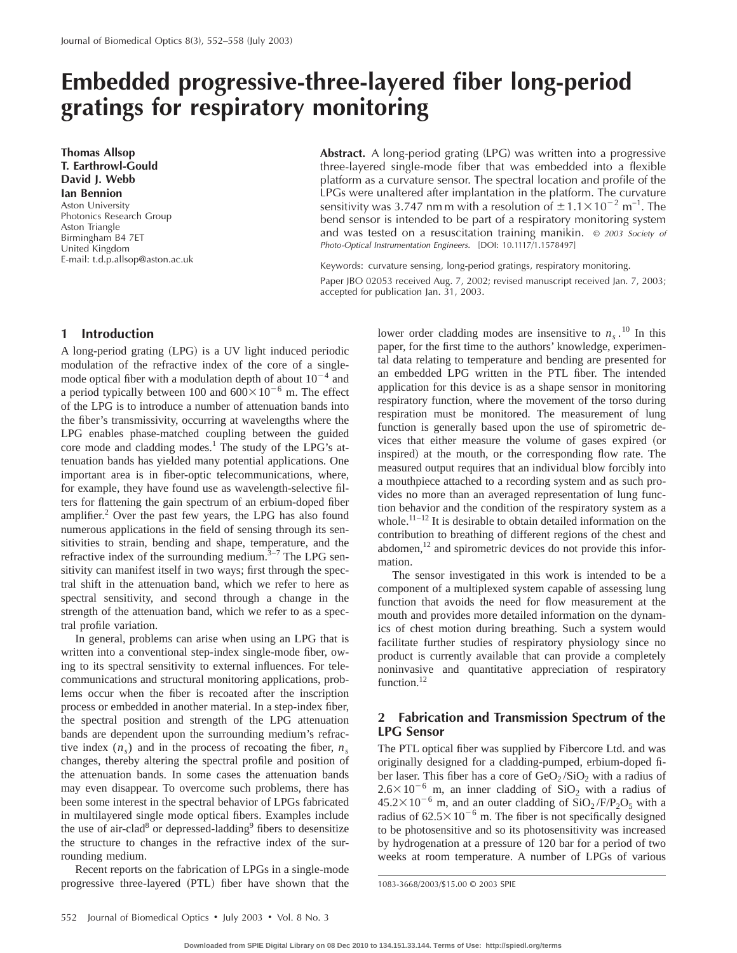# **Embedded progressive-three-layered fiber long-period gratings for respiratory monitoring**

**Thomas Allsop T. Earthrowl-Gould David J. Webb Ian Bennion** Aston University Photonics Research Group Aston Triangle Birmingham B4 7ET United Kingdom E-mail: t.d.p.allsop@aston.ac.uk **Abstract.** A long-period grating (LPG) was written into a progressive three-layered single-mode fiber that was embedded into a flexible platform as a curvature sensor. The spectral location and profile of the LPGs were unaltered after implantation in the platform. The curvature sensitivity was 3.747 nm m with a resolution of  $\pm 1.1 \times 10^{-2}$  m<sup>-1</sup>. The bend sensor is intended to be part of a respiratory monitoring system and was tested on a resuscitation training manikin. © <sup>2003</sup> Society of Photo-Optical Instrumentation Engineers. [DOI: 10.1117/1.1578497]

Keywords: curvature sensing, long-period gratings, respiratory monitoring. Paper JBO 02053 received Aug. 7, 2002; revised manuscript received Jan. 7, 2003; accepted for publication Jan. 31, 2003.

## **1 Introduction**

A long-period grating (LPG) is a UV light induced periodic modulation of the refractive index of the core of a singlemode optical fiber with a modulation depth of about  $10^{-4}$  and a period typically between 100 and  $600\times10^{-6}$  m. The effect of the LPG is to introduce a number of attenuation bands into the fiber's transmissivity, occurring at wavelengths where the LPG enables phase-matched coupling between the guided core mode and cladding modes.<sup>1</sup> The study of the LPG's attenuation bands has yielded many potential applications. One important area is in fiber-optic telecommunications, where, for example, they have found use as wavelength-selective filters for flattening the gain spectrum of an erbium-doped fiber amplifier.<sup>2</sup> Over the past few years, the LPG has also found numerous applications in the field of sensing through its sensitivities to strain, bending and shape, temperature, and the refractive index of the surrounding medium. $3-7$  The LPG sensitivity can manifest itself in two ways; first through the spectral shift in the attenuation band, which we refer to here as spectral sensitivity, and second through a change in the strength of the attenuation band, which we refer to as a spectral profile variation.

In general, problems can arise when using an LPG that is written into a conventional step-index single-mode fiber, owing to its spectral sensitivity to external influences. For telecommunications and structural monitoring applications, problems occur when the fiber is recoated after the inscription process or embedded in another material. In a step-index fiber, the spectral position and strength of the LPG attenuation bands are dependent upon the surrounding medium's refractive index  $(n<sub>s</sub>)$  and in the process of recoating the fiber,  $n<sub>s</sub>$ changes, thereby altering the spectral profile and position of the attenuation bands. In some cases the attenuation bands may even disappear. To overcome such problems, there has been some interest in the spectral behavior of LPGs fabricated in multilayered single mode optical fibers. Examples include the use of air-clad<sup>8</sup> or depressed-ladding<sup>9</sup> fibers to desensitize the structure to changes in the refractive index of the surrounding medium.

Recent reports on the fabrication of LPGs in a single-mode progressive three-layered (PTL) fiber have shown that the

lower order cladding modes are insensitive to  $n_s$ .<sup>10</sup> In this paper, for the first time to the authors' knowledge, experimental data relating to temperature and bending are presented for an embedded LPG written in the PTL fiber. The intended application for this device is as a shape sensor in monitoring respiratory function, where the movement of the torso during respiration must be monitored. The measurement of lung function is generally based upon the use of spirometric devices that either measure the volume of gases expired (or inspired) at the mouth, or the corresponding flow rate. The measured output requires that an individual blow forcibly into a mouthpiece attached to a recording system and as such provides no more than an averaged representation of lung function behavior and the condition of the respiratory system as a whole.<sup>11–12</sup> It is desirable to obtain detailed information on the contribution to breathing of different regions of the chest and abdomen, $12$  and spirometric devices do not provide this information.

The sensor investigated in this work is intended to be a component of a multiplexed system capable of assessing lung function that avoids the need for flow measurement at the mouth and provides more detailed information on the dynamics of chest motion during breathing. Such a system would facilitate further studies of respiratory physiology since no product is currently available that can provide a completely noninvasive and quantitative appreciation of respiratory function.<sup>12</sup>

# **2 Fabrication and Transmission Spectrum of the LPG Sensor**

The PTL optical fiber was supplied by Fibercore Ltd. and was originally designed for a cladding-pumped, erbium-doped fiber laser. This fiber has a core of  $GeO<sub>2</sub>/SiO<sub>2</sub>$  with a radius of  $2.6\times10^{-6}$  m, an inner cladding of SiO<sub>2</sub> with a radius of  $45.2\times10^{-6}$  m, and an outer cladding of  $SiO<sub>2</sub>/F/P<sub>2</sub>O<sub>5</sub>$  with a radius of  $62.5 \times 10^{-6}$  m. The fiber is not specifically designed to be photosensitive and so its photosensitivity was increased by hydrogenation at a pressure of 120 bar for a period of two weeks at room temperature. A number of LPGs of various

<sup>1083-3668/2003/\$15.00 © 2003</sup> SPIE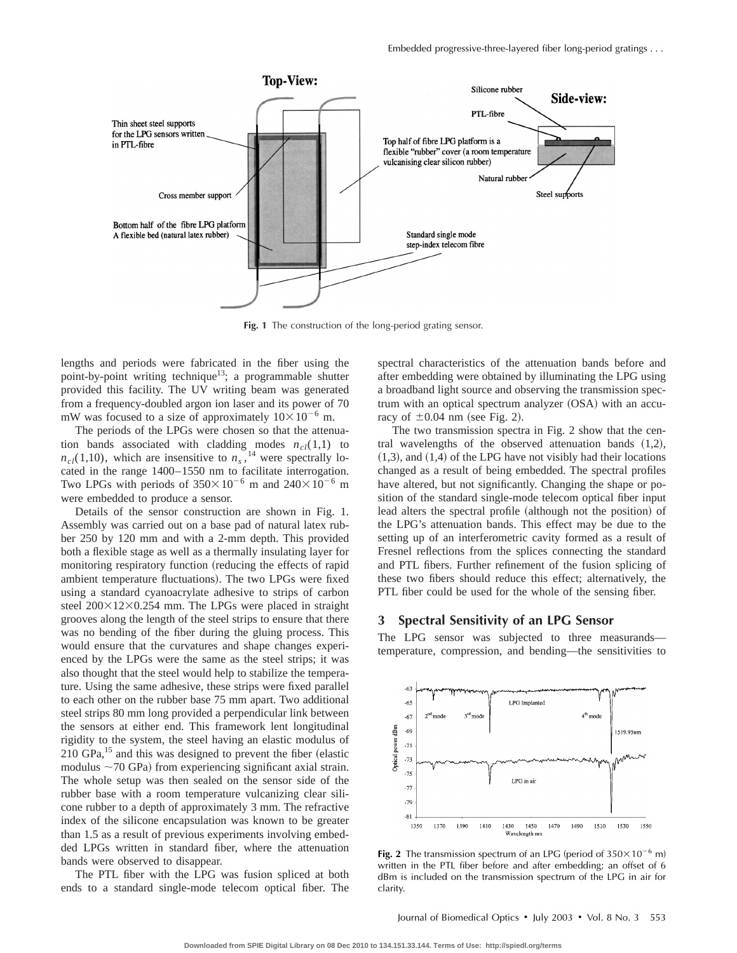

**Fig. 1** The construction of the long-period grating sensor.

lengths and periods were fabricated in the fiber using the point-by-point writing technique<sup>13</sup>; a programmable shutter provided this facility. The UV writing beam was generated from a frequency-doubled argon ion laser and its power of 70 mW was focused to a size of approximately  $10\times10^{-6}$  m.

The periods of the LPGs were chosen so that the attenuation bands associated with cladding modes  $n_{cl}(1,1)$  to  $n_{cl}(1,10)$ , which are insensitive to  $n_s$ , <sup>14</sup> were spectrally located in the range 1400–1550 nm to facilitate interrogation. Two LPGs with periods of  $350\times10^{-6}$  m and  $240\times10^{-6}$  m were embedded to produce a sensor.

Details of the sensor construction are shown in Fig. 1. Assembly was carried out on a base pad of natural latex rubber 250 by 120 mm and with a 2-mm depth. This provided both a flexible stage as well as a thermally insulating layer for monitoring respiratory function (reducing the effects of rapid ambient temperature fluctuations). The two LPGs were fixed using a standard cyanoacrylate adhesive to strips of carbon steel  $200\times12\times0.254$  mm. The LPGs were placed in straight grooves along the length of the steel strips to ensure that there was no bending of the fiber during the gluing process. This would ensure that the curvatures and shape changes experienced by the LPGs were the same as the steel strips; it was also thought that the steel would help to stabilize the temperature. Using the same adhesive, these strips were fixed parallel to each other on the rubber base 75 mm apart. Two additional steel strips 80 mm long provided a perpendicular link between the sensors at either end. This framework lent longitudinal rigidity to the system, the steel having an elastic modulus of  $210$  GPa,<sup>15</sup> and this was designed to prevent the fiber (elastic modulus  $\sim$ 70 GPa) from experiencing significant axial strain. The whole setup was then sealed on the sensor side of the rubber base with a room temperature vulcanizing clear silicone rubber to a depth of approximately 3 mm. The refractive index of the silicone encapsulation was known to be greater than 1.5 as a result of previous experiments involving embedded LPGs written in standard fiber, where the attenuation bands were observed to disappear.

The PTL fiber with the LPG was fusion spliced at both ends to a standard single-mode telecom optical fiber. The spectral characteristics of the attenuation bands before and after embedding were obtained by illuminating the LPG using a broadband light source and observing the transmission spectrum with an optical spectrum analyzer (OSA) with an accuracy of  $\pm 0.04$  nm (see Fig. 2).

The two transmission spectra in Fig. 2 show that the central wavelengths of the observed attenuation bands  $(1,2)$ ,  $(1,3)$ , and  $(1,4)$  of the LPG have not visibly had their locations changed as a result of being embedded. The spectral profiles have altered, but not significantly. Changing the shape or position of the standard single-mode telecom optical fiber input lead alters the spectral profile (although not the position) of the LPG's attenuation bands. This effect may be due to the setting up of an interferometric cavity formed as a result of Fresnel reflections from the splices connecting the standard and PTL fibers. Further refinement of the fusion splicing of these two fibers should reduce this effect; alternatively, the PTL fiber could be used for the whole of the sensing fiber.

## **3 Spectral Sensitivity of an LPG Sensor**

The LPG sensor was subjected to three measurands temperature, compression, and bending—the sensitivities to



**Fig. 2** The transmission spectrum of an LPG (period of  $350 \times 10^{-6}$  m) written in the PTL fiber before and after embedding; an offset of 6 dBm is included on the transmission spectrum of the LPG in air for clarity.

Journal of Biomedical Optics  $\cdot$  July 2003  $\cdot$  Vol. 8 No. 3 553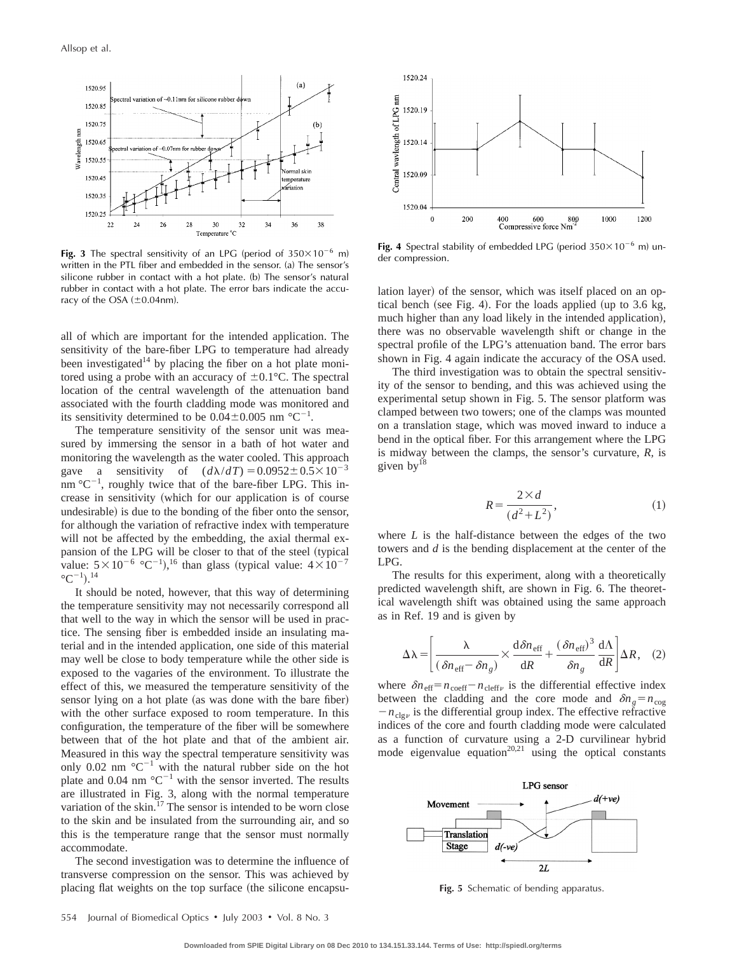

**Fig. 3** The spectral sensitivity of an LPG (period of  $350 \times 10^{-6}$  m) written in the PTL fiber and embedded in the sensor. (a) The sensor's silicone rubber in contact with a hot plate. (b) The sensor's natural rubber in contact with a hot plate. The error bars indicate the accuracy of the OSA  $(\pm 0.04$ nm).

all of which are important for the intended application. The sensitivity of the bare-fiber LPG to temperature had already been investigated<sup>14</sup> by placing the fiber on a hot plate monitored using a probe with an accuracy of  $\pm 0.1$ °C. The spectral location of the central wavelength of the attenuation band associated with the fourth cladding mode was monitored and its sensitivity determined to be  $0.04 \pm 0.005$  nm °C<sup>-1</sup>.

The temperature sensitivity of the sensor unit was measured by immersing the sensor in a bath of hot water and monitoring the wavelength as the water cooled. This approach gave a sensitivity of  $(d\lambda/dT) = 0.0952 \pm 0.5 \times 10^{-3}$ nm  ${}^{\circ}C^{-1}$ , roughly twice that of the bare-fiber LPG. This increase in sensitivity (which for our application is of course undesirable) is due to the bonding of the fiber onto the sensor, for although the variation of refractive index with temperature will not be affected by the embedding, the axial thermal expansion of the LPG will be closer to that of the steel (typical value:  $5 \times 10^{-6}$  °C<sup>-1</sup>),<sup>16</sup> than glass (typical value:  $4 \times 10^{-7}$  $^{\circ}$ C<sup>-1</sup>).<sup>14</sup>

It should be noted, however, that this way of determining the temperature sensitivity may not necessarily correspond all that well to the way in which the sensor will be used in practice. The sensing fiber is embedded inside an insulating material and in the intended application, one side of this material may well be close to body temperature while the other side is exposed to the vagaries of the environment. To illustrate the effect of this, we measured the temperature sensitivity of the sensor lying on a hot plate (as was done with the bare fiber) with the other surface exposed to room temperature. In this configuration, the temperature of the fiber will be somewhere between that of the hot plate and that of the ambient air. Measured in this way the spectral temperature sensitivity was only 0.02 nm  $^{\circ}C^{-1}$  with the natural rubber side on the hot plate and 0.04 nm  $^{\circ}C^{-1}$  with the sensor inverted. The results are illustrated in Fig. 3, along with the normal temperature variation of the skin.<sup>17</sup> The sensor is intended to be worn close to the skin and be insulated from the surrounding air, and so this is the temperature range that the sensor must normally accommodate.

The second investigation was to determine the influence of transverse compression on the sensor. This was achieved by placing flat weights on the top surface (the silicone encapsu-



**Fig. 4** Spectral stability of embedded LPG (period  $350 \times 10^{-6}$  m) under compression.

lation layer) of the sensor, which was itself placed on an optical bench (see Fig. 4). For the loads applied (up to 3.6 kg, much higher than any load likely in the intended application), there was no observable wavelength shift or change in the spectral profile of the LPG's attenuation band. The error bars shown in Fig. 4 again indicate the accuracy of the OSA used.

The third investigation was to obtain the spectral sensitivity of the sensor to bending, and this was achieved using the experimental setup shown in Fig. 5. The sensor platform was clamped between two towers; one of the clamps was mounted on a translation stage, which was moved inward to induce a bend in the optical fiber. For this arrangement where the LPG is midway between the clamps, the sensor's curvature, *R,* is given by<sup>18</sup>

$$
R = \frac{2 \times d}{\left(d^2 + L^2\right)},\tag{1}
$$

where *L* is the half-distance between the edges of the two towers and *d* is the bending displacement at the center of the LPG.

The results for this experiment, along with a theoretically predicted wavelength shift, are shown in Fig. 6. The theoretical wavelength shift was obtained using the same approach as in Ref. 19 and is given by

$$
\Delta \lambda = \left[ \frac{\lambda}{(\delta n_{\text{eff}} - \delta n_g)} \times \frac{d \delta n_{\text{eff}}}{dR} + \frac{(\delta n_{\text{eff}})^3}{\delta n_g} \frac{d\Lambda}{dR} \right] \Delta R, \quad (2)
$$

where  $\delta n_{\text{eff}} = n_{\text{coeff}} - n_{\text{cleff}\nu}$  is the differential effective index between the cladding and the core mode and  $\delta n_g = n_{\text{cog}}$  $-n_{\text{clg}\nu}$  is the differential group index. The effective refractive indices of the core and fourth cladding mode were calculated as a function of curvature using a 2-D curvilinear hybrid mode eigenvalue equation<sup>20,21</sup> using the optical constants



**Fig. 5** Schematic of bending apparatus.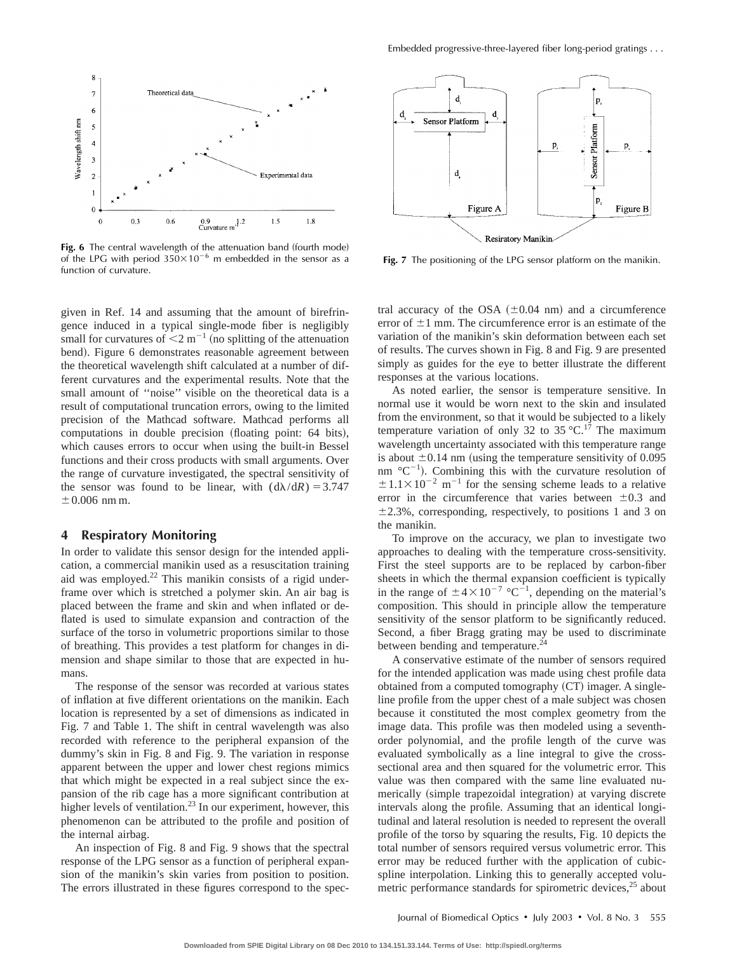

**Fig. 6** The central wavelength of the attenuation band (fourth mode) of the LPG with period  $350\times10^{-6}$  m embedded in the sensor as a function of curvature.

given in Ref. 14 and assuming that the amount of birefringence induced in a typical single-mode fiber is negligibly small for curvatures of  $\leq 2$  m<sup>-1</sup> (no splitting of the attenuation bend). Figure 6 demonstrates reasonable agreement between the theoretical wavelength shift calculated at a number of different curvatures and the experimental results. Note that the small amount of ''noise'' visible on the theoretical data is a result of computational truncation errors, owing to the limited precision of the Mathcad software. Mathcad performs all computations in double precision (floating point: 64 bits), which causes errors to occur when using the built-in Bessel functions and their cross products with small arguments. Over the range of curvature investigated, the spectral sensitivity of the sensor was found to be linear, with  $(d\lambda/dR) = 3.747$  $\pm$  0.006 nm m.

## **4 Respiratory Monitoring**

In order to validate this sensor design for the intended application, a commercial manikin used as a resuscitation training and was employed.<sup>22</sup> This manikin consists of a rigid underframe over which is stretched a polymer skin. An air bag is placed between the frame and skin and when inflated or deflated is used to simulate expansion and contraction of the surface of the torso in volumetric proportions similar to those of breathing. This provides a test platform for changes in dimension and shape similar to those that are expected in humans.

The response of the sensor was recorded at various states of inflation at five different orientations on the manikin. Each location is represented by a set of dimensions as indicated in Fig. 7 and Table 1. The shift in central wavelength was also recorded with reference to the peripheral expansion of the dummy's skin in Fig. 8 and Fig. 9. The variation in response apparent between the upper and lower chest regions mimics that which might be expected in a real subject since the expansion of the rib cage has a more significant contribution at higher levels of ventilation.<sup>23</sup> In our experiment, however, this phenomenon can be attributed to the profile and position of the internal airbag.

An inspection of Fig. 8 and Fig. 9 shows that the spectral response of the LPG sensor as a function of peripheral expansion of the manikin's skin varies from position to position. The errors illustrated in these figures correspond to the spec-



**Fig. 7** The positioning of the LPG sensor platform on the manikin.

tral accuracy of the OSA  $(\pm 0.04 \text{ nm})$  and a circumference error of  $\pm 1$  mm. The circumference error is an estimate of the variation of the manikin's skin deformation between each set of results. The curves shown in Fig. 8 and Fig. 9 are presented simply as guides for the eye to better illustrate the different responses at the various locations.

As noted earlier, the sensor is temperature sensitive. In normal use it would be worn next to the skin and insulated from the environment, so that it would be subjected to a likely temperature variation of only 32 to 35 °C.<sup>17</sup> The maximum wavelength uncertainty associated with this temperature range is about  $\pm 0.14$  nm (using the temperature sensitivity of 0.095 nm  ${}^{\circ}C^{-1}$ ). Combining this with the curvature resolution of  $\pm 1.1 \times 10^{-2}$  m<sup>-1</sup> for the sensing scheme leads to a relative error in the circumference that varies between  $\pm 0.3$  and  $\pm$ 2.3%, corresponding, respectively, to positions 1 and 3 on the manikin.

To improve on the accuracy, we plan to investigate two approaches to dealing with the temperature cross-sensitivity. First the steel supports are to be replaced by carbon-fiber sheets in which the thermal expansion coefficient is typically in the range of  $\pm 4 \times 10^{-7}$  °C<sup>-1</sup>, depending on the material's composition. This should in principle allow the temperature sensitivity of the sensor platform to be significantly reduced. Second, a fiber Bragg grating may be used to discriminate between bending and temperature.<sup>24</sup>

A conservative estimate of the number of sensors required for the intended application was made using chest profile data obtained from a computed tomography (CT) imager. A singleline profile from the upper chest of a male subject was chosen because it constituted the most complex geometry from the image data. This profile was then modeled using a seventhorder polynomial, and the profile length of the curve was evaluated symbolically as a line integral to give the crosssectional area and then squared for the volumetric error. This value was then compared with the same line evaluated numerically (simple trapezoidal integration) at varying discrete intervals along the profile. Assuming that an identical longitudinal and lateral resolution is needed to represent the overall profile of the torso by squaring the results, Fig. 10 depicts the total number of sensors required versus volumetric error. This error may be reduced further with the application of cubicspline interpolation. Linking this to generally accepted volumetric performance standards for spirometric devices,<sup>25</sup> about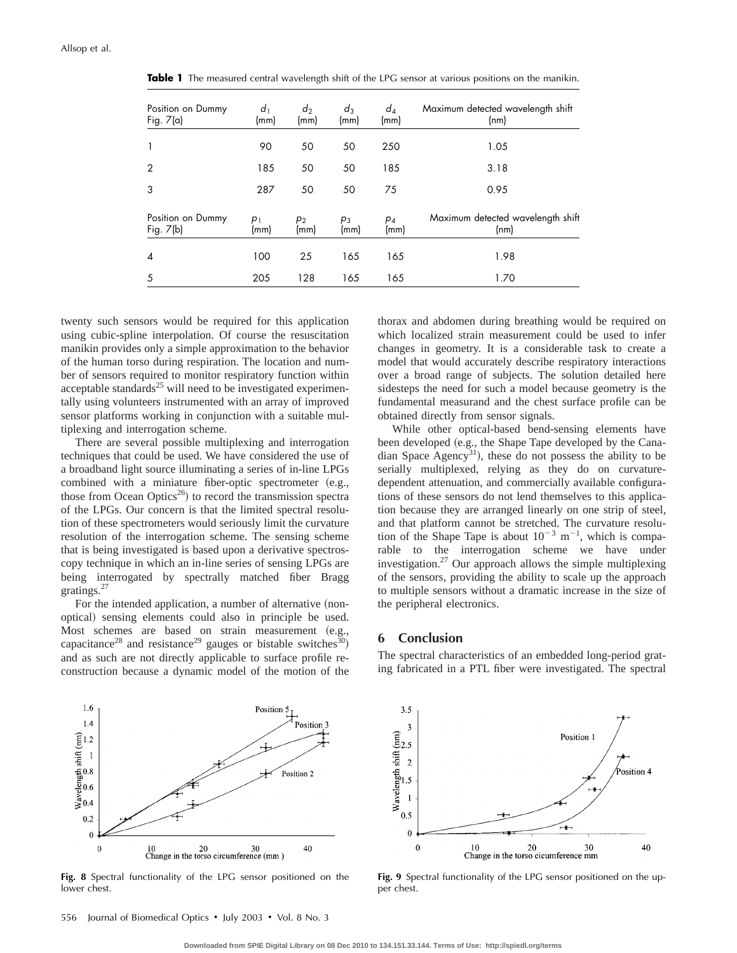| Position on Dummy<br>Fig. $7(a)$ | d <sub>1</sub><br>(mm) | $d_2$<br>(mm) | $d_3$<br>(mm) | $d_4$<br>(mm) | Maximum detected wavelength shift<br>(nm) |
|----------------------------------|------------------------|---------------|---------------|---------------|-------------------------------------------|
| 1                                | 90                     | 50            | 50            | 250           | 1.05                                      |
| $\overline{2}$                   | 185                    | 50            | 50            | 185           | 3.18                                      |
| 3                                | 287                    | 50            | 50            | 75            | 0.95                                      |
| Position on Dummy<br>Fig. 7(b)   | $p_1$<br>(mm)          | $p_2$<br>(mm) | $p_3$<br>(mm) | $p_4$<br>(mm) | Maximum detected wavelength shift<br>(nm) |
| $\boldsymbol{\Lambda}$           | 100                    | 25            | 165           | 165           | 1.98                                      |
| 5                                | 205                    | 128           | 165           | 165           | 1.70                                      |

**Table 1** The measured central wavelength shift of the LPG sensor at various positions on the manikin.

twenty such sensors would be required for this application using cubic-spline interpolation. Of course the resuscitation manikin provides only a simple approximation to the behavior of the human torso during respiration. The location and number of sensors required to monitor respiratory function within acceptable standards $^{25}$  will need to be investigated experimentally using volunteers instrumented with an array of improved sensor platforms working in conjunction with a suitable multiplexing and interrogation scheme.

There are several possible multiplexing and interrogation techniques that could be used. We have considered the use of a broadband light source illuminating a series of in-line LPGs combined with a miniature fiber-optic spectrometer  $(e.g.,)$ those from Ocean Optics<sup>26</sup>) to record the transmission spectra of the LPGs. Our concern is that the limited spectral resolution of these spectrometers would seriously limit the curvature resolution of the interrogation scheme. The sensing scheme that is being investigated is based upon a derivative spectroscopy technique in which an in-line series of sensing LPGs are being interrogated by spectrally matched fiber Bragg gratings.27

For the intended application, a number of alternative (nonoptical) sensing elements could also in principle be used. Most schemes are based on strain measurement (e.g., capacitance<sup>28</sup> and resistance<sup>29</sup> gauges or bistable switches<sup>30</sup>) and as such are not directly applicable to surface profile reconstruction because a dynamic model of the motion of the thorax and abdomen during breathing would be required on which localized strain measurement could be used to infer changes in geometry. It is a considerable task to create a model that would accurately describe respiratory interactions over a broad range of subjects. The solution detailed here sidesteps the need for such a model because geometry is the fundamental measurand and the chest surface profile can be obtained directly from sensor signals.

While other optical-based bend-sensing elements have been developed (e.g., the Shape Tape developed by the Canadian Space Agency<sup>31</sup>), these do not possess the ability to be serially multiplexed, relying as they do on curvaturedependent attenuation, and commercially available configurations of these sensors do not lend themselves to this application because they are arranged linearly on one strip of steel, and that platform cannot be stretched. The curvature resolution of the Shape Tape is about  $10^{-3}$  m<sup>-1</sup>, which is comparable to the interrogation scheme we have under investigation.27 Our approach allows the simple multiplexing of the sensors, providing the ability to scale up the approach to multiple sensors without a dramatic increase in the size of the peripheral electronics.

### **6 Conclusion**

The spectral characteristics of an embedded long-period grating fabricated in a PTL fiber were investigated. The spectral



**Fig. 8** Spectral functionality of the LPG sensor positioned on the lower chest.



**Fig. 9** Spectral functionality of the LPG sensor positioned on the upper chest.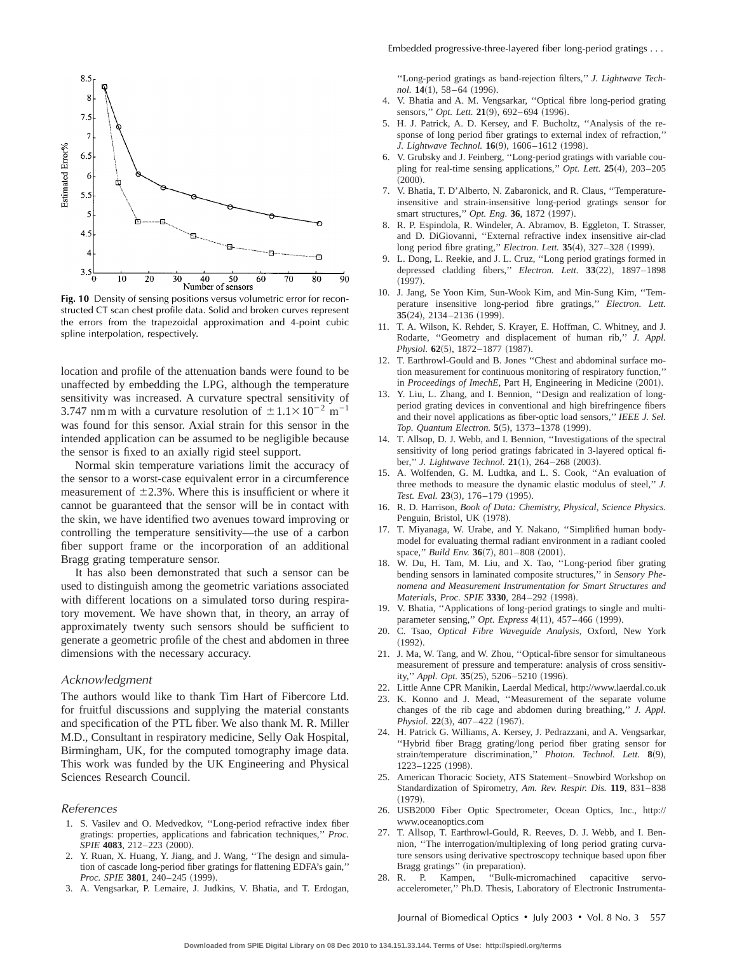

Fig. 10 Density of sensing positions versus volumetric error for reconstructed CT scan chest profile data. Solid and broken curves represent the errors from the trapezoidal approximation and 4-point cubic spline interpolation, respectively.

location and profile of the attenuation bands were found to be unaffected by embedding the LPG, although the temperature sensitivity was increased. A curvature spectral sensitivity of 3.747 nm m with a curvature resolution of  $\pm 1.1 \times 10^{-2}$  m<sup>-1</sup> was found for this sensor. Axial strain for this sensor in the intended application can be assumed to be negligible because the sensor is fixed to an axially rigid steel support.

Normal skin temperature variations limit the accuracy of the sensor to a worst-case equivalent error in a circumference measurement of  $\pm 2.3$ %. Where this is insufficient or where it cannot be guaranteed that the sensor will be in contact with the skin, we have identified two avenues toward improving or controlling the temperature sensitivity—the use of a carbon fiber support frame or the incorporation of an additional Bragg grating temperature sensor.

It has also been demonstrated that such a sensor can be used to distinguish among the geometric variations associated with different locations on a simulated torso during respiratory movement. We have shown that, in theory, an array of approximately twenty such sensors should be sufficient to generate a geometric profile of the chest and abdomen in three dimensions with the necessary accuracy.

#### Acknowledgment

The authors would like to thank Tim Hart of Fibercore Ltd. for fruitful discussions and supplying the material constants and specification of the PTL fiber. We also thank M. R. Miller M.D., Consultant in respiratory medicine, Selly Oak Hospital, Birmingham, UK, for the computed tomography image data. This work was funded by the UK Engineering and Physical Sciences Research Council.

#### References

- 1. S. Vasilev and O. Medvedkov, ''Long-period refractive index fiber gratings: properties, applications and fabrication techniques,'' *Proc. SPIE* 4083, 212–223 (2000).
- 2. Y. Ruan, X. Huang, Y. Jiang, and J. Wang, ''The design and simulation of cascade long-period fiber gratings for flattening EDFA's gain,'' *Proc. SPIE* 3801, 240-245 (1999).
- 3. A. Vengsarkar, P. Lemaire, J. Judkins, V. Bhatia, and T. Erdogan,

''Long-period gratings as band-rejection filters,'' *J. Lightwave Technol.* **14**(1), 58–64 (1996).

- 4. V. Bhatia and A. M. Vengsarkar, ''Optical fibre long-period grating sensors," Opt. Lett. 21(9), 692-694 (1996).
- 5. H. J. Patrick, A. D. Kersey, and F. Bucholtz, ''Analysis of the response of long period fiber gratings to external index of refraction,'' *J. Lightwave Technol.* **16**(9), 1606–1612 (1998).
- 6. V. Grubsky and J. Feinberg, ''Long-period gratings with variable coupling for real-time sensing applications," *Opt. Lett.*  $25(4)$ ,  $203-205$  $(2000).$
- 7. V. Bhatia, T. D'Alberto, N. Zabaronick, and R. Claus, ''Temperatureinsensitive and strain-insensitive long-period gratings sensor for smart structures," Opt. Eng. 36, 1872 (1997).
- 8. R. P. Espindola, R. Windeler, A. Abramov, B. Eggleton, T. Strasser, and D. DiGiovanni, ''External refractive index insensitive air-clad long period fibre grating," *Electron. Lett.* **35**(4), 327–328 (1999).
- 9. L. Dong, L. Reekie, and J. L. Cruz, ''Long period gratings formed in depressed cladding fibers," *Electron. Lett.* 33(22), 1897-1898  $(1997).$
- 10. J. Jang, Se Yoon Kim, Sun-Wook Kim, and Min-Sung Kim, ''Temperature insensitive long-period fibre gratings,'' *Electron. Lett.* **35**(24), 2134–2136 (1999).
- 11. T. A. Wilson, K. Rehder, S. Krayer, E. Hoffman, C. Whitney, and J. Rodarte, ''Geometry and displacement of human rib,'' *J. Appl. Physiol.* **62**(5), 1872–1877 (1987).
- 12. T. Earthrowl-Gould and B. Jones ''Chest and abdominal surface motion measurement for continuous monitoring of respiratory function,'' in *Proceedings of ImechE*, Part H, Engineering in Medicine (2001).
- 13. Y. Liu, L. Zhang, and I. Bennion, ''Design and realization of longperiod grating devices in conventional and high birefringence fibers and their novel applications as fiber-optic load sensors,'' *IEEE J. Sel.* Top. Quantum Electron. **5**(5), 1373-1378 (1999).
- 14. T. Allsop, D. J. Webb, and I. Bennion, ''Investigations of the spectral sensitivity of long period gratings fabricated in 3-layered optical fiber," *J. Lightwave Technol.* 21(1), 264-268 (2003).
- 15. A. Wolfenden, G. M. Ludtka, and L. S. Cook, ''An evaluation of three methods to measure the dynamic elastic modulus of steel,'' *J.* Test. Eval. 23(3), 176-179 (1995).
- 16. R. D. Harrison, *Book of Data: Chemistry, Physical, Science Physics*. Penguin, Bristol, UK (1978).
- 17. T. Miyanaga, W. Urabe, and Y. Nakano, ''Simplified human bodymodel for evaluating thermal radiant environment in a radiant cooled space," *Build Env.* **36**(7), 801–808 (2001).
- 18. W. Du, H. Tam, M. Liu, and X. Tao, ''Long-period fiber grating bending sensors in laminated composite structures,'' in *Sensory Phenomena and Measurement Instrumentation for Smart Structures and Materials, Proc. SPIE* 3330, 284-292 (1998).
- 19. V. Bhatia, ''Applications of long-period gratings to single and multiparameter sensing," *Opt. Express* **4**(11), 457–466 (1999).
- 20. C. Tsao, *Optical Fibre Waveguide Analysis*, Oxford, New York  $(1992).$
- 21. J. Ma, W. Tang, and W. Zhou, ''Optical-fibre sensor for simultaneous measurement of pressure and temperature: analysis of cross sensitivity," Appl. Opt. 35(25), 5206-5210 (1996).
- 22. Little Anne CPR Manikin, Laerdal Medical, http://www.laerdal.co.uk
- K. Konno and J. Mead, "Measurement of the separate volume changes of the rib cage and abdomen during breathing,'' *J. Appl. Physiol.* **22**(3), 407-422 (1967).
- 24. H. Patrick G. Williams, A. Kersey, J. Pedrazzani, and A. Vengsarkar, ''Hybrid fiber Bragg grating/long period fiber grating sensor for strain/temperature discrimination," Photon. Technol. Lett. 8(9), 1223-1225 (1998).
- 25. American Thoracic Society, ATS Statement–Snowbird Workshop on Standardization of Spirometry, *Am. Rev. Respir. Dis.* **119**, 831–838  $(1979).$
- 26. USB2000 Fiber Optic Spectrometer, Ocean Optics, Inc., http:// www.oceanoptics.com
- 27. T. Allsop, T. Earthrowl-Gould, R. Reeves, D. J. Webb, and I. Bennion, ''The interrogation/multiplexing of long period grating curvature sensors using derivative spectroscopy technique based upon fiber Bragg gratings" (in preparation).
- 28. R. P. Kampen, ''Bulk-micromachined capacitive servoaccelerometer,'' Ph.D. Thesis, Laboratory of Electronic Instrumenta-

Journal of Biomedical Optics • July 2003 • Vol. 8 No. 3 557